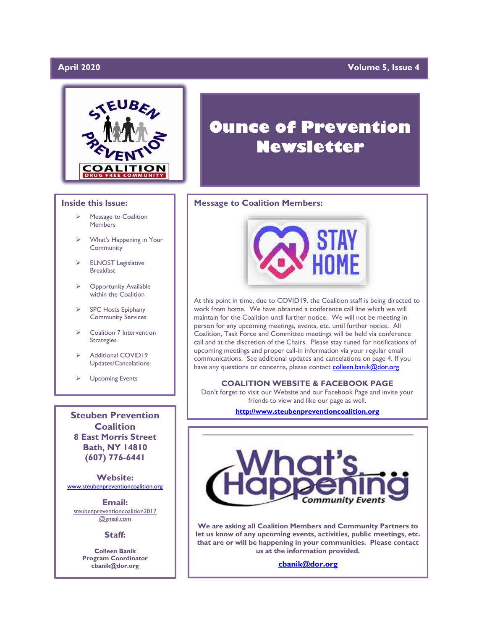# April 2020

# **April 2020 Volume 5, Issue 4**



# **Inside this Issue:**

- ➢ Message to Coalition Members
- What's Happening in Your **Community**
- ➢ ELNOST Legislative Breakfast
- **Opportunity Available** within the Coalition
- ➢ SPC Hosts Epiphany Community Services
- ➢ Coalition 7 Intervention Strategies
- ➢ Additional COVID19 Updates/Cancelations
- ➢ Upcoming Events

**Steuben Prevention Coalition 8 East Morris Street Bath, NY 14810 (607) 776-6441**

**Website:**  [www.steubenpreventioncoalition.org](http://www.steubenpreventioncoalition.org/)

**Email:**  steubenpreventioncoalition2017 @gmail.com

**Staff:**

**Colleen Banik Program Coordinator cbanik@dor.org**

# **Ounce of Prevention Newsletter**

# **Message to Coalition Members:**



At this point in time, due to COVID19, the Coalition staff is being directed to work from home. We have obtained a conference call line which we will maintain for the Coalition until further notice. We will not be meeting in person for any upcoming meetings, events, etc. until further notice. All Coalition, Task Force and Committee meetings will be held via conference call and at the discretion of the Chairs. Please stay tuned for notifications of upcoming meetings and proper call-in information via your regular email communications. See additional updates and cancelations on page 4. If you have any questions or concerns, please contact [colleen.banik@dor.org](mailto:colleen.banik@dor.org)

# **COALITION WEBSITE & FACEBOOK PAGE**

Don't forget to visit our Website and our Facebook Page and invite your friends to view and like our page as well.

**[http://www.steubenpreventioncoalition.org](http://www.steubenpreventioncoalition.org/)**



**We are asking all Coalition Members and Community Partners to let us know of any upcoming events, activities, public meetings, etc. that are or will be happening in your communities. Please contact us at the information provided.**

**[cbanik@dor.org](mailto:cbanik@dor.org)**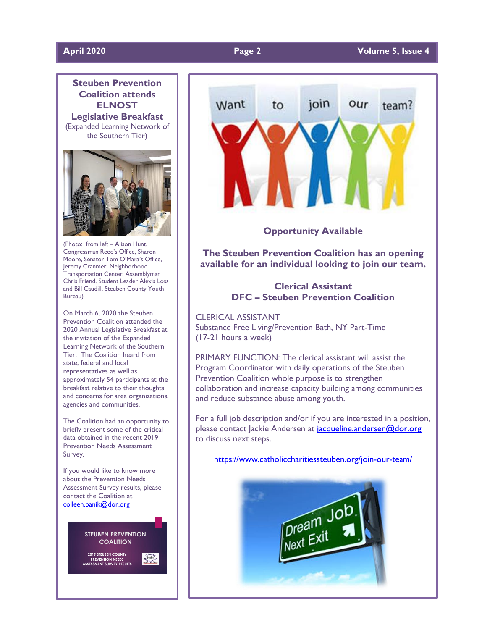

(Photo: from left – Alison Hunt, Congressman Reed's Office, Sharon Moore, Senator Tom O'Mara's Office, Jeremy Cranmer, Neighborhood Transportation Center, Assemblyman Chris Friend, Student Leader Alexis Loss and Bill Caudill, Steuben County Youth Bureau)

On March 6, 2020 the Steuben Prevention Coalition attended the 2020 Annual Legislative Breakfast at the invitation of the Expanded Learning Network of the Southern Tier. The Coalition heard from state, federal and local representatives as well as approximately 54 participants at the breakfast relative to their thoughts and concerns for area organizations, agencies and communities.

The Coalition had an opportunity to briefly present some of the critical data obtained in the recent 2019 Prevention Needs Assessment Survey.

If you would like to know more about the Prevention Needs Assessment Survey results, please contact the Coalition at [colleen.banik@dor.org](mailto:colleen.banik@dor.org)





**Opportunity Available**

**The Steuben Prevention Coalition has an opening available for an individual looking to join our team.**

# **Clerical Assistant DFC – Steuben Prevention Coalition**

CLERICAL ASSISTANT Substance Free Living/Prevention Bath, NY Part-Time (17-21 hours a week)

PRIMARY FUNCTION: The clerical assistant will assist the Program Coordinator with daily operations of the Steuben Prevention Coalition whole purpose is to strengthen collaboration and increase capacity building among communities and reduce substance abuse among youth.

For a full job description and/or if you are interested in a position, please contact Jackie Andersen at jacqueline.andersen@dor.org to discuss next steps.

<https://www.catholiccharitiessteuben.org/join-our-team/>

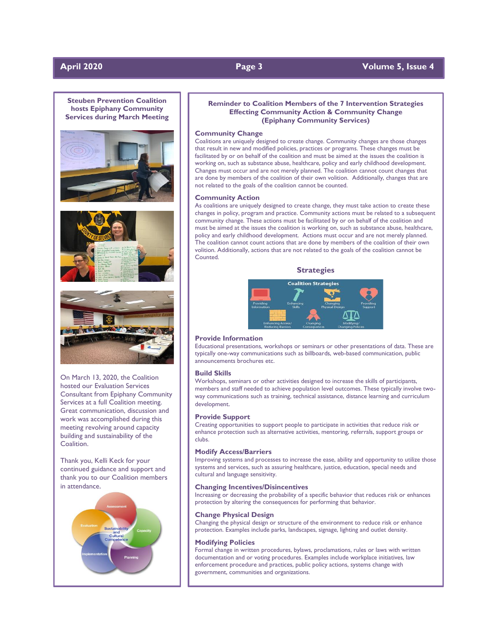# **April 2020 Page 3 Volume 5, Issue 4**



hosted our Evaluation Services Consultant from Epiphany Community Services at a full Coalition meeting. Great communication, discussion and work was accomplished during this meeting revolving around capacity building and sustainability of the Coalition.

Thank you, Kelli Keck for your continued guidance and support and thank you to our Coalition members in attendance.



### **Reminder to Coalition Members of the 7 Intervention Strategies Effecting Community Action & Community Change (Epiphany Community Services)**

#### **Community Change**

Coalitions are uniquely designed to create change. Community changes are those changes that result in new and modified policies, practices or programs. These changes must be facilitated by or on behalf of the coalition and must be aimed at the issues the coalition is working on, such as substance abuse, healthcare, policy and early childhood development. Changes must occur and are not merely planned. The coalition cannot count changes that are done by members of the coalition of their own volition. Additionally, changes that are not related to the goals of the coalition cannot be counted.

### **Community Action**

As coalitions are uniquely designed to create change, they must take action to create these changes in policy, program and practice. Community actions must be related to a subsequent community change. These actions must be facilitated by or on behalf of the coalition and must be aimed at the issues the coalition is working on, such as substance abuse, healthcare, policy and early childhood development. Actions must occur and are not merely planned. The coalition cannot count actions that are done by members of the coalition of their own volition. Additionally, actions that are not related to the goals of the coalition cannot be Counted.

#### **Strategies**



### **Provide Information**

Educational presentations, workshops or seminars or other presentations of data. These are typically one-way communications such as billboards, web-based communication, public announcements brochures etc.

#### **Build Skills**

Workshops, seminars or other activities designed to increase the skills of participants, members and staff needed to achieve population level outcomes. These typically involve twoway communications such as training, technical assistance, distance learning and curriculum development.

#### **Provide Support**

Creating opportunities to support people to participate in activities that reduce risk or enhance protection such as alternative activities, mentoring, referrals, support groups or clubs.

#### **Modify Access/Barriers**

Improving systems and processes to increase the ease, ability and opportunity to utilize those systems and services, such as assuring healthcare, justice, education, special needs and cultural and language sensitivity.

#### **Changing Incentives/Disincentives**

Increasing or decreasing the probability of a specific behavior that reduces risk or enhances protection by altering the consequences for performing that behavior.

#### **Change Physical Design**

Changing the physical design or structure of the environment to reduce risk or enhance protection. Examples include parks, landscapes, signage, lighting and outlet density.

#### **Modifying Policies**

Formal change in written procedures, bylaws, proclamations, rules or laws with written documentation and or voting procedures. Examples include workplace initiatives, law enforcement procedure and practices, public policy actions, systems change with government, communities and organizations.